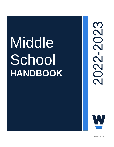# Middle School **HANDBOOK**





*Revised 03/11/22*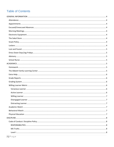# **Table of Contents**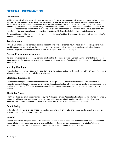# <span id="page-3-0"></span>**GENERAL INFORMATION**

# <span id="page-3-1"></span>**Attendance**

Middle school will officially begin with morning meeting at 8:25 a.m. Students are still welcome to arrive earlier to meet with teachers as needed. When a child will be absent, parents are asked to either enter their child's attendance in Veracross or call/email the Middle School's Administrative Assistant by 8:30 a.m. Students must log all late arrivals and/or early dismissals into the school designated attendance system. If they arrive without a note from an adult or the school has not otherwise been notified of their late arrival, their attendance will be marked as an unexcused tardy. It is important to note that students are not permitted to directly notify the school of attendance related concerns.

If a student becomes ill while at school, they must go to the nurse's office. If necessary, the nurse will call the student's parent/guardian to pick them up.

## <span id="page-3-2"></span>**Appointments**

Parents are encouraged to schedule student appointments outside of school hours. If this is not possible, parents must provide documentation explaining the absence. To leave school, students must sign out via the school designated attendance system located in the Middle School office. Upon return, they must sign in.

#### <span id="page-3-3"></span>**Excused/Unexcused Absences**

If a long-term absence is necessary, parents must contact the Heads of Middle School in writing prior to the absence to request approval for an excused absence. A Planned Multi-Day Absence form is available in the Middle School office and on Veracross.

## <span id="page-3-4"></span>**Morning Meetings**

The school day will formally begin in the Jag Commons the first and last day of the week with a 5<sup>th</sup> – 8<sup>th</sup> grade meeting. On other days, students meet by grade level or advisory.

#### <span id="page-3-5"></span>**Electronic Equipment**

The school cannot guarantee the security of electronic equipment and because those devices are a distraction to students, personal electronic devices are prohibited during the school day. Phones may be used with the permission of a teacher. In addition, 5<sup>th</sup> / 6<sup>th</sup> grade students may not bring personal laptop computers to school unless approved by a teacher.

#### <span id="page-3-6"></span>**The Sokol Store**

The Sokol Store is a small store maintained by the Wellington Parents Association. Located near the rotunda, it carries a supply of Wellington logo sportswear. It also stocks a wide range of school supplies. Middle school students may purchase snacks from The Sokol Store before 8:25 and after 3:15 p.m. All profits benefit the school.

#### <span id="page-3-7"></span>**Snack Policy**

In the interest of health and cleanliness, we ask that students drink only water and bring a healthy snack to school for morning breaks. Gum chewing is prohibited.

#### <span id="page-3-8"></span>**Lockers**

Each student will be assigned a locker. Students should keep all books, coats, etc. inside the locker and keep the door closed. Students may opt to add locks for overnight storage. Students must not access another student's locker. Vandalism of a locker (physical damage, including but not limited to graffiti) will result in a fine.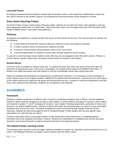# <span id="page-4-0"></span>**Lost and Found**

All clothing and personal items should be marked with the student's name. In the event that a labeled item is found, the item will be returned to the student; however, all unclaimed lost and found articles will be donated to a charity.

# <span id="page-4-1"></span>**Dress Down Days/Jag Fridays**

On the first Friday of every month (unless otherwise noted), students are excused from dress code regulations and may wear appropriate clothing that is in good repair. Other dress down days occur throughout the year at the discretion of the Heads of Middle School. (See dress code guidelines.)

# <span id="page-4-2"></span>**Advisory**

All students are assigned to a faculty member who serves as their advisor for the year. The common goals of advisory are the following:

- 1) To help students develop their maximum physical, emotional, social, and academic potential;
- 2) To foster a positive school environment for students and staff;
- 3) To enhance communication among students, peers, home, and school;
- 4) To provide opportunities for students to serve others through organized service projects.

If a parent is concerned about issues related to their child, they are encouraged to talk to the child's advisor. If there is a concern about a specific subject area, the parent should contact the teacher of that subject.

# <span id="page-4-3"></span>**School Nurse**

A full-time nurse is available on campus every day. If a student becomes sick, they must report to the nurse who will determine an appropriate action. If the nurse is unavailable, the student should report to the Middle School office. A student must obtain permission from their teacher to visit the nurse/Middle School office during class time.

State law mandates that medications be dispensed by a professional; therefore, if it is necessary to send medication to school, please send it in the original container, labeled for the student with brief directions. A permission form will be given to the student and must be signed by the parent and returned the next day. A student on long-term medications must also have a form signed by their physician. Students are not allowed to self-medicate.

# <span id="page-4-4"></span>**ACADEMICS**

# <span id="page-4-5"></span>**Homework**

Students complete assignments at different rates of speed so predicting completion time is difficult. General guidelines include  $5<sup>th</sup>$  grade students averaging 10 minutes in each subject;  $6<sup>th</sup>$  grade students averaging 15 minutes in each subject; and students in grades 7<sup>th</sup> and 8<sup>th</sup> averaging 20 minutes in each subject. Reading assignments, particularly in history and literature, may require additional time. Long-term projects will require advanced planning. Our intent is to give meaningful homework and not just busy work. Homework assignments may be accessed through Google Classroom and/or Veracross. Students are also encouraged to have a "homework buddy" in their classes who can give specific class expectations for a day that they are absent.

Teachers make every effort to encourage students to plan ahead and to pace themselves in completing projects. Homework will not be assigned over breaks; however, students are responsible for completing work by their due dates. Questions concerning homework or projects should be directed to the assigning teacher.

# <span id="page-4-6"></span>**The Abbott Family Learning Center**

The learning center has both a print and digital collection available for student use. Materials may be borrowed for four (4) weeks. The Wellington librarians are eager to assist students with their library needs.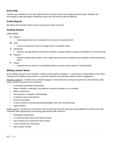# <span id="page-5-0"></span>**Extra Help**

Teachers are available to work with students before and after school and during supervised study. Students are encouraged to take advantage of additional help if they are having academic difficulty.

# <span id="page-5-1"></span>**Grade Reports**

All interim and trimester reports must be accessed through Veracross.

# <span id="page-5-2"></span>**Grading System**

Letter Grades

- **A** Superior
	- Outstanding achievement resulting from consistent, exceptional work.
- **B** Good
	- A level of achievement above average and of a consistent nature.
- **C** Satisfactory
	- Indicates average growth and sufficient mastery of subject matter to provide a foundation for further learning.
- **D** Marginal
	- Indicates questionable mastery of the subject and should be considered as an indicator of potential problem areas.
- **F** Failing
	- Indicates that the student is not attaining sufficient mastery of the subject for further growth.

# <span id="page-5-3"></span>**Willing Learner Metric**

At the middle and end of each trimester, middle school students in grades 5 - 8 will receive a rating based on this metric. The goal of the Willing Learner Metric [is](https://drive.google.com/file/d/0B1_8B79uoCqvV2RKRExaR05obHc/view) to promote reflection and ultimately, greater student engagement.

<span id="page-5-4"></span>Voracious Learner:A student who is actively engaged in class and brings energy and optimism to new learning, while being a positive presence in the classroom.

- Consistently participates productively
- Makes insightful, meaningful, and relevant comments (verbally or non-verbally)
- Makes connections
- Asks questions to deepen understanding
- Is helpful to peers and teachers
- Listens purposefully
- Is more focused on personal growth/knowledge rather than the letter grade
- Takes initiative

<span id="page-5-5"></span>Active LearnerA student who is proactive with their learning and with classroom responsibilities and seeks extra help voluntarily while approaching new learning opportunities with openness.

- Participates productively
- Is excited and open about new ideas/concepts
- Asks questions for clarification when needed
- Listens actively and respectfully
- Has a growth mindset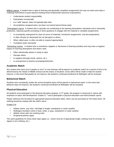<span id="page-6-0"></span>Willing Learner A student who is open to learning and generally completes assignments but may not seek extra help or challenge themselves to grow beyond meeting those fundamental classroom expectations.

- Understands student responsibility
- Participates occasionally
- Is a "safe" learner; does not typically take risks
- Accomplishes assigned tasks, but does not extend beyond those tasks

<span id="page-6-1"></span>Disengaged LearnerA student who is typically not contributing to the learning atmosphere voluntarily and is reluctantly productive, requiring specific prompting or direct guidance to engage with the material or complete assignments.

- Is consistently unprepared for class (in terms of materials, homework assignments, and test preparation)
- Is often off-task (or distracted) but not disruptive to others
- When called upon, is often not able to respond appropriately
- Completes tasks reluctantly

<span id="page-6-2"></span>Distracting Learner: A student who is sometimes negative or dismissive of learning activities and may have a negative impact on learning atmosphere and others' work.

- Often intentionally absent or tardy to class
- Disrupts others
- Is negative (through words, actions, etc.)
- Is unresponsive to teacher prompting/redirection

# <span id="page-6-3"></span>**Academic Watch**

Any student who earns two D grades or one F in one trimester will be placed on academic watch for a period of time to be determined by the Heads of Middle School and the Deans of Students. Every effort will be made to help the student improve. In the event that grades do not improve, the student's continued enrollment at Wellington will be reviewed.

# <span id="page-6-4"></span>**Behavioral Watch**

Students who consistently violate the school discipline policy will be placed on behavioral watch. In the event that behavior does not improve, the student's continued enrollment at Wellington will be reviewed.

# <span id="page-6-5"></span>**Physical Education**

All students must participate in the physical education program. In  $5<sup>th</sup>$  grade, the program is intramural in nature with emphasis on basic skill development. Grades 6, 7 and 8 participate in physical education and interscholastic sports.

Please reference the list below for appropriate physical education attire, which can be purchased at The Sokol Store. All clothing should be marked with the child's name.

#### Grades 5-8:

- Athletic shorts, any color, mid-thigh in length; sweatpants in cooler weather
- Wellington branded t-shirts in blue, white, or gray; sweatshirts in cooler weather
- Athletic shoes with non-marking soles
- All general policies apply

The same guidelines for dress down days apply (i.e., shorts must be of appropriate length, clothing must fit correctly, no ripped or torn clothing, etc.).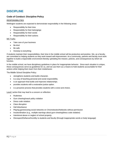# <span id="page-7-0"></span>**DISCIPLINE**

# <span id="page-7-1"></span>**Code of Conduct: Discipline Policy**

#### <span id="page-7-2"></span>**RESPONSIBILITIES**

Wellington students are expected to demonstrate responsibility in the following areas:

- Responsibility for their time
- Responsibility for their belongings
- Responsibility for their words
- Responsibility for their actions

#### <span id="page-7-3"></span>MS Truths

- Take care of your business
- Be kind
- Be safe
- Honesty is everything

If students maintain their responsibilities, their time in the middle school will be productive and positive. We, as a faculty, are committed to helping students as they work toward self-improvement. As a community, parents and faculty must work together to build a responsible environment thereby upholding the mission, policies, and consequences by which we function.

In the middle school, we have disciplinary guidelines in place for inappropriate behavior. Since each situation is unique, these consequences serve as guidelines for us, and we use them as a means to hold students accountable for their actions while helping them learn from their misbehavior.

The Middle School Discipline Policy:

- strengthens students and builds character.
- is a way of teaching personal and social responsibility.
- is an approach that builds and improves relationships.
- provides students with a restorative justice option.
- is a proactive process that provides students with a voice and choice.

<span id="page-7-4"></span>Level I action that may lead to a concern or reflection:

- Rudeness
- Gum chewing/snack policy violation
- Dress code violation
- Class disruption
- Hall disturbance
- Playing games/using social networks on Chromebooks/Netbooks without permission
- Insubordination (e.g., multiple warnings about gum-chewing/dress code violation)
- Intentional abuse or neglect of school property
- Disrespect/Defiance/Incivility to students and faculty (through inappropriate words or body language)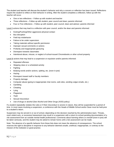The student and teacher will discuss the student's behavior and why a concern or reflection has been issued. Reflections require the student to reflect on their behavior in writing. After the student completes a reflection, follow up with the teacher will occur.

- One or two reflections Follow up with student and teacher
- Three reflections Follow up with student, peer council and dean; parents informed
- Four or Five reflections Follow up with student, peer council, dean and advisor; parents informed

<span id="page-8-0"></span>Level II actions that may lead to a reflection with peer council, and/or the dean and parents informed:

- Kicking/Pushing/Other aggressive physical contact
- Bus disruption
- Field trip misbehavior
- Failure to be under supervision
- Taking materials without specific permission
- Improper sexual comments or actions
- Profanity and inappropriate gesturing
- Disrespect towards classmates
- Intentional abuse, misuse, or neglect of school-issued Chromebooks or other school property

<span id="page-8-1"></span>Level III actions that may lead to a suspension or expulsion and/or parents informed:

- Repeated offenses
- Skipping class or a scheduled activity
- **Fighting**
- Bullying words and/or actions, spitting, etc. (even in jest)
- Hazing
- Disrespect toward staff or faculty members
- Property damage
- Computer abuse (going to inappropriate chat rooms, web sites, sending vulgar emails, etc.)
- Gambling
- **Cheating**
- **Lying**
- Plagiarism
- Theft
- Sexual misconduct
- Use of drugs or alcohol (See Alcohol and Other Drugs (AOD) policy)

If a student repeatedly violates the rules or if their misconduct is severe in nature, they will be suspended for a period of time. In most cases involving a suspension, a conference with the Heads of Middle School and/or Dean must be held prior to a student's return.

Suspension may be served in or out of school, depending on the decision reached by the administrative team. Threats, overt violent acts, or excessive harassment may result in a suspension with a return to school pending documentation of a risk assessment from an outside mental health professional. Comments about harming others or oneself (even in jest) will be taken seriously, and the student may be asked to remain home until a risk assessment can be made.

Note: The absence of a specific behavior from these lists does not mean the absence of consequences. The school reserves the right to discipline in response to any behavior deemed unsafe, unethical, inappropriate, or contrary to the mission of the institution or good practice.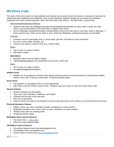# <span id="page-9-0"></span>**MS Dress Code**

The intent of the dress code is to help establish and maintain an inclusive school environment, conducive to learning. By maintaining basic guidelines and standards, more of each student's cognitive energy can go toward new academic challenges and social emotional growth, rather than their daily outfit choices. We think that is a good thing!

#### Shirts/Sweatshirts/Sweaters/Fleeces

- Students may wear any Wellington-branded shirt/sweatshirt/sweater/fleece in blue, white, or gray. No other colors, even if purchased at The Sokol Store or athletic team stores.
- All non-Wellington sweatshirts/hoodies/ sweaters/fleece need to be solid color in navy blue, white or light gray. Tshirts must be navy. Polos can be white or navy. Small non-Wellington clothing brand logos are permitted.

#### Footwear

- Footwear must be reasonably clean, in good repair, grip feet, and allow for easy movement.
- No crocs, soccer slides, flip flops, etc.
- Classes may require a specific shoe (e.g., science labs).

#### **Shorts**

- Tan or navy, no cargo or denim.
- Mid-thigh in length.

#### Skirts/Skorts

- MacEwen plaid\* and mid-thigh in length.
- Tights/leggings/jeggings (not sweatpants) may be worn under skirt.

#### Pants

- Tan or navy, no cargo or denim.
- No jeggings/leggings/sweatpants.

#### **Athletic Dress**

• Athletes are encouraged to promote home games and post-season tournament games by wearing their athletic uniform, team shirt, or dressy casual attire. All general policies apply.

#### **Dress Down**

- Any graphics or messaging must be school appropriate.
- Jag Friday is the first Friday of each month. Students may dress down or wear the school dress code.

#### **General Policies**

- Student clothing must fit properly.
- Tops must cover shoulders, collarbone, and midriff.
- Clothing must be free of rips and tears.
- Hats are not permitted.
- School reserves the right to ask students to remove piercings and to cover tattoos at any time deemed necessary.

#### **Physical Education Classes**

- Athletic shorts, any color, mid-thigh in length; sweatpants in cooler weather.
- Wellington branded t-shirt in blue, white, or gray; sweatshirts in cooler weather.
- Athletic shoes with non-marking soles.
- All general policies apply.

#### **Wellington Items may be found at:**

- The Sokol Store [order online](https://wellingtonschool.square.site/)
- WPA Pre-Loved Apparel Sales

#### **\*Skirt/Skort may be found at:**

- Educational Apparel (www.educationalapparel.com)
- Schoolbelles (www.schoolbelles.com)
- School Closet & School Days [\(www.schoolcloset.com\)](http://www.schoolcloset.com/)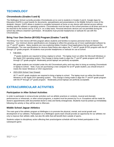# <span id="page-10-0"></span>**TECHNOLOGY**

# **Chromebooks (Grades 5 and 6)**

The Wellington School currently provides Chromebooks at no cost to students in Grades 5 and 6. Google Apps for Education (GAFE) is used heavily for documents, spreadsheets and presentations in the Middle School in most of the students' classes. GAFE allows a student to complete homework at home on any device with internet access without needing specific software or operating systems. Chromebooks must be kept on the school premises at all times and are to be returned to the locked cart by 3:30 p.m. on a daily basis. Personal electronic devices are not permitted during the school day without a teacher's permission.  All students must provide headphones or earbuds for use with the Chromebooks.

# **Bring Your Own Device (BYOD) Program (Grades 7 and 8)**

The Bring Your Own Device (BYOD) program allows students and families to express personal choice in device selection. Our minimum device specifications are changing to reflect the growing use of more sophisticated software by our  $7<sup>th</sup>$  and  $8<sup>th</sup>$  graders. Many students are now exploring Adobe Creative Cloud applications that go well beyond the Chromebooks. The new specifications for devices listed below also aligns the  $7<sup>th</sup>$  and  $8<sup>th</sup>$  grade BYOD program with the  $9<sup>th</sup>$ through  $12<sup>th</sup>$  grade program. All students must provide headphones or earbuds for use at school.

• Fall 2022:

7<sup>th</sup> grade students are required to bring a laptop to school. The laptop must run either the Microsoft Windows or the Apple OSX operating system. This change is being made to align the  $7<sup>th</sup>$  and  $8<sup>th</sup>$  grade program with the  $9<sup>th</sup>$ through 12<sup>th</sup> grade program. Moderately priced laptops are perfectly acceptable.

8th grade students are included under the old Chromebook policy and may elect to bring an existing Chromebook or laptop to school. Note, if you are purchasing a new computer for an 8th grade student, you should ensure it meets the newer Windows or OSX requirement.

• 2023-2024 School Year Onward:

All  $7<sup>th</sup>$  and  $8<sup>th</sup>$  grade students are required to bring a laptop to school. The laptop must run either the Microsoft Windows or the Apple OSX operating system. This change is being made to align the  $7<sup>th</sup>$  and  $8<sup>th</sup>$  grade program with the  $9<sup>th</sup>$  through 12<sup>th</sup> grade program. Moderately priced laptops are perfectly acceptable.

# <span id="page-10-1"></span>**EXTRACURRICULAR ACTIVITIES**

# <span id="page-10-2"></span>**Participation in After School Activities**

In order to participate in extracurricular activities such as athletic practices or contests, musical and dramatic performances or rehearsals, or other school programs, a student must be present by 9 a.m. Exceptions will be made for doctor's appointments (with documented doctor's note) and family emergencies. Students must be picked up immediately following the activity or they will be sent to Aftercare.

# <span id="page-10-3"></span>**Middle School Jaguar Athletics**

The main goal of the athletic program at Wellington is to promote the physical, mental, and social growth and development of our athletes. Participation on a Wellington sports team should provide an opportunity for our athletes not only to improve their athletic skills, but also life skills that will benefit them outside of sports.

Students subject to disciplinary action affecting their practice/game schedule will have limited participation in the subsequent game.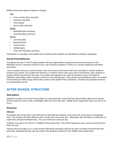<span id="page-11-0"></span>Middle School team options (subject to change):

## Fall:

- Cross Country (boys and girls)
- Golf (boys and girls)
- Tennis (girls)
- Soccer (girls and boys)

## <span id="page-11-1"></span>Winter:

- Basketball (girls and boys)
- Swimming (girls and boys)

## <span id="page-11-2"></span>Spring:

- Lacrosse (girls)
- Baseball (boys)
- Tennis (boys)
- Softball (girls)
- Track and Field (girls and boys)

Participation is a privilege, and students must maintain good academic and disciplinary standing to participate.

# <span id="page-11-3"></span>**Social Events/Dances**

Throughout the year  $7<sup>th</sup>$  and  $8<sup>th</sup>$  grade students will have opportunities to attend social events and dances at The Wellington School, Columbus School for Girls, and Columbus Academy (7-9:00 p.m.). Faculty chaperones will attend each dance.

Once a student arrives at a school function, they must remain at the event until it has concluded or until the student is picked-up by a parent. Any student who behaves in a manner which could cause harm to themselves, other students or property will be removed from the event. Any student who appears to be under the influence of any mind-altering substance will be taken aside to wait for a parent to come and get them. They will also face disciplinary action, as outlined in the Alcohol and Other Drugs (AOD) Policy section of the Student Policy Handbook. Students are expected to behave in an appropriate manner.

# <span id="page-11-4"></span>**AFTER SCHOOL STRUCTURE**

# <span id="page-11-5"></span>**Description**

Students in grades 5-8 are given the privilege of a supervised after school structure that provides safety and a relaxed time for those who need to stay at Wellington after the school day ends. Middle School Supervision hours are from 3:30 -6 p.m.

# <span id="page-11-6"></span>**Structure**

#### <span id="page-11-7"></span>Aftercare

All students who remain after school will check in with Aftercare teachers at the end of the school day at a designated area. The students will begin Aftercare with a small snack and recess time. Afterwards, they will head to a classroom for supervision and light homework help. The cost of Aftercare is \$10 per day.

Students must sign-in by 3:30 p.m. to Middle School Supervision. They will be required to sign in and out each time they leave the area.

Parents who arrive after 6 p.m. to pick up their child will be assessed a \$15 fee for each 15-minute increment that they arrive late. Repeated late pick-ups may result in the student's suspension from Middle School Supervision.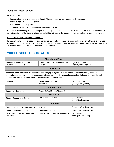# <span id="page-12-0"></span>**Discipline (After School)**

#### <span id="page-12-1"></span>Parent Notification

- Disrespect or incivility to students or faculty (through inappropriate words or body language)
- Abuse or neglect of school property
- Failure to be under supervision
- Inappropriate use of social networking sites and/or games

After one or two warnings (dependent upon the severity of the misconduct), parents will be called to inform them of their child's infraction(s). The Dean of Middle School will be advised of the discipline issue as well as the parent notification.

#### <span id="page-12-2"></span>Suspension from Middle School Supervision

If a student continues to engage in inappropriate behavior after repeated warnings and discussion with parents, the Dean of Middle School, the Heads of Middle School (if deemed necessary), and the Aftercare Director will determine whether to suspend the student from Aftercare/Middle School Supervision.

# <span id="page-12-3"></span>**MIDDLE SCHOOL CONTACTS**

| <b>Attendance/Forms</b>                                    |                                                  |                                         |  |  |
|------------------------------------------------------------|--------------------------------------------------|-----------------------------------------|--|--|
| Attendance Notifications, Forms,<br>Planned Absences, etc. | Brenda Porter, Middle School Admin.<br>Assistant | (614) 324-1659<br>porter@wellington.org |  |  |
| <b>Curriculum</b>                                          |                                                  |                                         |  |  |

Teachers' email addresses are generally (lastname)@wellington.org. Email communications typically receive the timeliest response; however, if a response is not received within 24 hours, please contact Coheads of Middle School. If you are unsure of the email address, please contact Brenda Porter.

| Scheduling                                           | Cristen Geary, Cohead for<br>Academics | (614) 754-4259<br>geary@wellington.org |  |  |
|------------------------------------------------------|----------------------------------------|----------------------------------------|--|--|
| <b>Student Life</b>                                  |                                        |                                        |  |  |
| <b>Disciplinary Concerns</b>                         | Middle School Dean of Students         |                                        |  |  |
| <b>Guidance</b>                                      |                                        |                                        |  |  |
| <b>Student Support and Guidance</b>                  | Emily Crema, Counselor                 | (614) 324.8895<br>crema@wellington.org |  |  |
| <b>Inquiries</b>                                     |                                        |                                        |  |  |
| <b>Student Progress, Student Concerns</b>            | Advisor                                | (lastname)@wellington.org              |  |  |
| Specific Classroom Concern                           | Classroom Teacher                      | (lastname)@wellington.org              |  |  |
| <b>Broad Division Issues, Unresolved</b><br>Concerns | Lissa Wade, Cohead for Student Life    | (614) 884.4498<br>wade@wellington.org  |  |  |